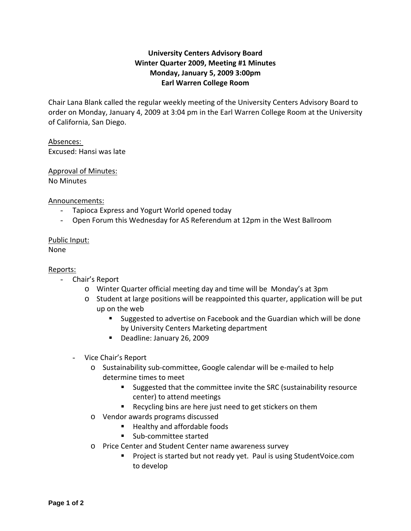## **University Centers Advisory Board Winter Quarter 2009, Meeting #1 Minutes Monday, January 5, 2009 3:00pm Earl Warren College Room**

Chair Lana Blank called the regular weekly meeting of the University Centers Advisory Board to order on Monday, January 4, 2009 at 3:04 pm in the Earl Warren College Room at the University of California, San Diego.

## Absences:

Excused: Hansi was late

# Approval of Minutes:

No Minutes

#### Announcements:

- Tapioca Express and Yogurt World opened today
- Open Forum this Wednesday for AS Referendum at 12pm in the West Ballroom

### Public Input:

None

#### Reports:

- Chair's Report
	- o Winter Quarter official meeting day and time will be Monday's at 3pm
	- $\circ$  Student at large positions will be reappointed this quarter, application will be put up on the web
		- **Suggested to advertise on Facebook and the Guardian which will be done** by University Centers Marketing department
		- Deadline: January 26, 2009
	- Vice Chair's Report
		- o Sustainability sub‐committee, Google calendar will be e‐mailed to help determine times to meet
			- **Suggested that the committee invite the SRC (sustainability resource** center) to attend meetings
			- Recycling bins are here just need to get stickers on them
		- o Vendor awards programs discussed
			- Healthy and affordable foods
			- Sub-committee started
		- o Price Center and Student Center name awareness survey
			- Project is started but not ready yet. Paul is using StudentVoice.com to develop